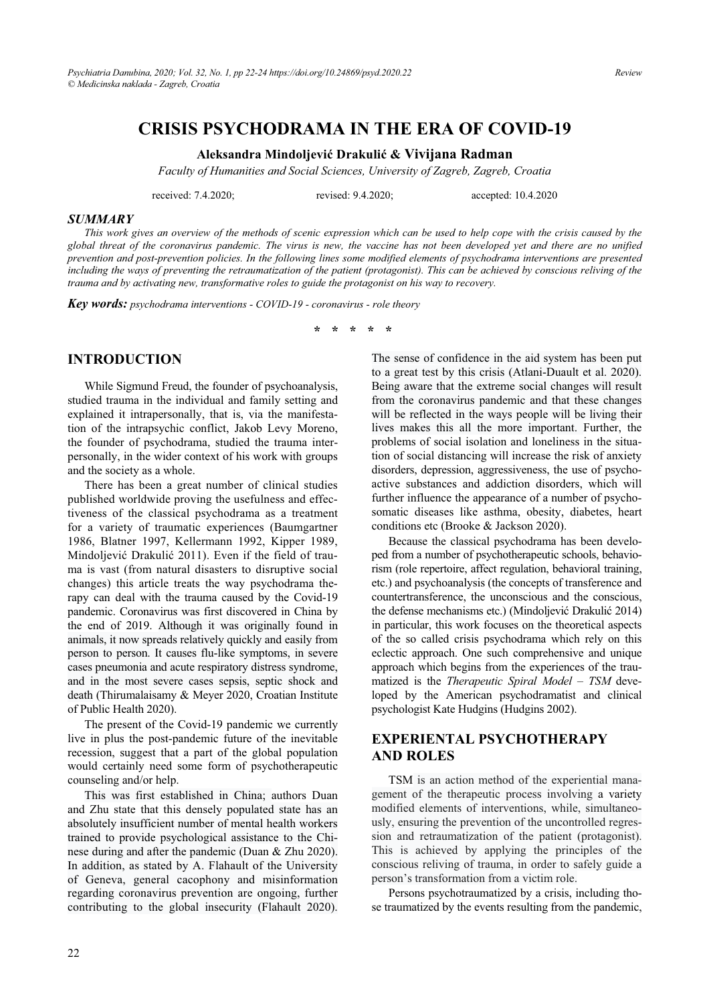# **CRISIS PSYCHODRAMA IN THE ERA OF COVID-19**

#### **Aleksandra Mindoljeviü Drakuliü & Vivijana Radman**

*Faculty of Humanities and Social Sciences, University of Zagreb, Zagreb, Croatia* 

received: 7.4.2020; revised: 9.4.2020; accepted: 10.4.2020

#### *SUMMARY*

*This work gives an overview of the methods of scenic expression which can be used to help cope with the crisis caused by the global threat of the coronavirus pandemic. The virus is new, the vaccine has not been developed yet and there are no unified prevention and post-prevention policies. In the following lines some modified elements of psychodrama interventions are presented including the ways of preventing the retraumatization of the patient (protagonist). This can be achieved by conscious reliving of the trauma and by activating new, transformative roles to guide the protagonist on his way to recovery.* 

*Key words: psychodrama interventions - COVID-19 - coronavirus - role theory* 

**\* \* \* \* \*** 

#### **INTRODUCTION**

While Sigmund Freud, the founder of psychoanalysis, studied trauma in the individual and family setting and explained it intrapersonally, that is, via the manifestation of the intrapsychic conflict, Jakob Levy Moreno, the founder of psychodrama, studied the trauma interpersonally, in the wider context of his work with groups and the society as a whole.

There has been a great number of clinical studies published worldwide proving the usefulness and effectiveness of the classical psychodrama as a treatment for a variety of traumatic experiences (Baumgartner 1986, Blatner 1997, Kellermann 1992, Kipper 1989, Mindoljević Drakulić 2011). Even if the field of trauma is vast (from natural disasters to disruptive social changes) this article treats the way psychodrama therapy can deal with the trauma caused by the Covid-19 pandemic. Coronavirus was first discovered in China by the end of 2019. Although it was originally found in animals, it now spreads relatively quickly and easily from person to person. It causes flu-like symptoms, in severe cases pneumonia and acute respiratory distress syndrome, and in the most severe cases sepsis, septic shock and death (Thirumalaisamy & Meyer 2020, Croatian Institute of Public Health 2020).

The present of the Covid-19 pandemic we currently live in plus the post-pandemic future of the inevitable recession, suggest that a part of the global population would certainly need some form of psychotherapeutic counseling and/or help.

This was first established in China; authors Duan and Zhu state that this densely populated state has an absolutely insufficient number of mental health workers trained to provide psychological assistance to the Chinese during and after the pandemic (Duan & Zhu 2020). In addition, as stated by A. Flahault of the University of Geneva, general cacophony and misinformation regarding coronavirus prevention are ongoing, further contributing to the global insecurity (Flahault 2020).

The sense of confidence in the aid system has been put to a great test by this crisis (Atlani-Duault et al. 2020). Being aware that the extreme social changes will result from the coronavirus pandemic and that these changes will be reflected in the ways people will be living their lives makes this all the more important. Further, the problems of social isolation and loneliness in the situation of social distancing will increase the risk of anxiety disorders, depression, aggressiveness, the use of psychoactive substances and addiction disorders, which will further influence the appearance of a number of psychosomatic diseases like asthma, obesity, diabetes, heart conditions etc (Brooke & Jackson 2020).

Because the classical psychodrama has been developed from a number of psychotherapeutic schools, behaviorism (role repertoire, affect regulation, behavioral training, etc.) and psychoanalysis (the concepts of transference and countertransference, the unconscious and the conscious, the defense mechanisms etc.) (Mindoljević Drakulić 2014) in particular, this work focuses on the theoretical aspects of the so called crisis psychodrama which rely on this eclectic approach. One such comprehensive and unique approach which begins from the experiences of the traumatized is the *Therapeutic Spiral Model – TSM* developed by the American psychodramatist and clinical psychologist Kate Hudgins (Hudgins 2002).

#### **EXPERIENTAL PSYCHOTHERAPY AND ROLES**

TSM is an action method of the experiential management of the therapeutic process involving a variety modified elements of interventions, while, simultaneously, ensuring the prevention of the uncontrolled regression and retraumatization of the patient (protagonist). This is achieved by applying the principles of the conscious reliving of trauma, in order to safely guide a person's transformation from a victim role.

Persons psychotraumatized by a crisis, including those traumatized by the events resulting from the pandemic,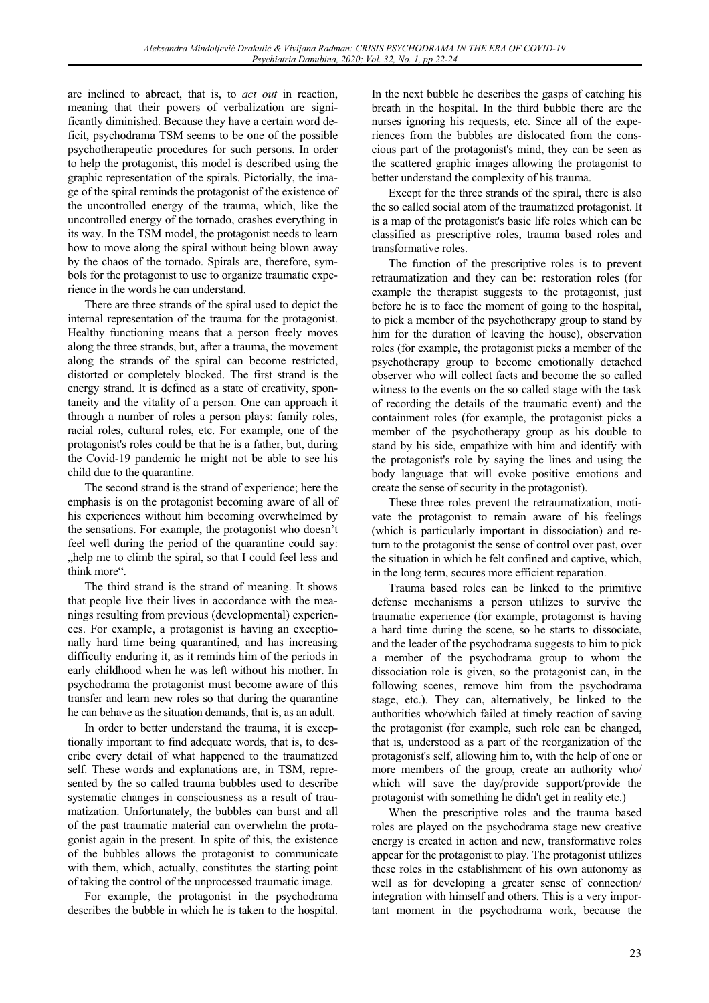are inclined to abreact, that is, to *act out* in reaction, meaning that their powers of verbalization are significantly diminished. Because they have a certain word deficit, psychodrama TSM seems to be one of the possible psychotherapeutic procedures for such persons. In order to help the protagonist, this model is described using the graphic representation of the spirals. Pictorially, the image of the spiral reminds the protagonist of the existence of the uncontrolled energy of the trauma, which, like the uncontrolled energy of the tornado, crashes everything in its way. In the TSM model, the protagonist needs to learn how to move along the spiral without being blown away by the chaos of the tornado. Spirals are, therefore, symbols for the protagonist to use to organize traumatic experience in the words he can understand.

There are three strands of the spiral used to depict the internal representation of the trauma for the protagonist. Healthy functioning means that a person freely moves along the three strands, but, after a trauma, the movement along the strands of the spiral can become restricted, distorted or completely blocked. The first strand is the energy strand. It is defined as a state of creativity, spontaneity and the vitality of a person. One can approach it through a number of roles a person plays: family roles, racial roles, cultural roles, etc. For example, one of the protagonist's roles could be that he is a father, but, during the Covid-19 pandemic he might not be able to see his child due to the quarantine.

The second strand is the strand of experience; here the emphasis is on the protagonist becoming aware of all of his experiences without him becoming overwhelmed by the sensations. For example, the protagonist who doesn't feel well during the period of the quarantine could say: "help me to climb the spiral, so that I could feel less and think more".

The third strand is the strand of meaning. It shows that people live their lives in accordance with the meanings resulting from previous (developmental) experiences. For example, a protagonist is having an exceptionally hard time being quarantined, and has increasing difficulty enduring it, as it reminds him of the periods in early childhood when he was left without his mother. In psychodrama the protagonist must become aware of this transfer and learn new roles so that during the quarantine he can behave as the situation demands, that is, as an adult.

In order to better understand the trauma, it is exceptionally important to find adequate words, that is, to describe every detail of what happened to the traumatized self. These words and explanations are, in TSM, represented by the so called trauma bubbles used to describe systematic changes in consciousness as a result of traumatization. Unfortunately, the bubbles can burst and all of the past traumatic material can overwhelm the protagonist again in the present. In spite of this, the existence of the bubbles allows the protagonist to communicate with them, which, actually, constitutes the starting point of taking the control of the unprocessed traumatic image.

For example, the protagonist in the psychodrama describes the bubble in which he is taken to the hospital.

In the next bubble he describes the gasps of catching his breath in the hospital. In the third bubble there are the nurses ignoring his requests, etc. Since all of the experiences from the bubbles are dislocated from the conscious part of the protagonist's mind, they can be seen as the scattered graphic images allowing the protagonist to better understand the complexity of his trauma.

Except for the three strands of the spiral, there is also the so called social atom of the traumatized protagonist. It is a map of the protagonist's basic life roles which can be classified as prescriptive roles, trauma based roles and transformative roles.

The function of the prescriptive roles is to prevent retraumatization and they can be: restoration roles (for example the therapist suggests to the protagonist, just before he is to face the moment of going to the hospital, to pick a member of the psychotherapy group to stand by him for the duration of leaving the house), observation roles (for example, the protagonist picks a member of the psychotherapy group to become emotionally detached observer who will collect facts and become the so called witness to the events on the so called stage with the task of recording the details of the traumatic event) and the containment roles (for example, the protagonist picks a member of the psychotherapy group as his double to stand by his side, empathize with him and identify with the protagonist's role by saying the lines and using the body language that will evoke positive emotions and create the sense of security in the protagonist).

These three roles prevent the retraumatization, motivate the protagonist to remain aware of his feelings (which is particularly important in dissociation) and return to the protagonist the sense of control over past, over the situation in which he felt confined and captive, which, in the long term, secures more efficient reparation.

Trauma based roles can be linked to the primitive defense mechanisms a person utilizes to survive the traumatic experience (for example, protagonist is having a hard time during the scene, so he starts to dissociate, and the leader of the psychodrama suggests to him to pick a member of the psychodrama group to whom the dissociation role is given, so the protagonist can, in the following scenes, remove him from the psychodrama stage, etc.). They can, alternatively, be linked to the authorities who/which failed at timely reaction of saving the protagonist (for example, such role can be changed, that is, understood as a part of the reorganization of the protagonist's self, allowing him to, with the help of one or more members of the group, create an authority who/ which will save the day/provide support/provide the protagonist with something he didn't get in reality etc.)

When the prescriptive roles and the trauma based roles are played on the psychodrama stage new creative energy is created in action and new, transformative roles appear for the protagonist to play. The protagonist utilizes these roles in the establishment of his own autonomy as well as for developing a greater sense of connection/ integration with himself and others. This is a very important moment in the psychodrama work, because the